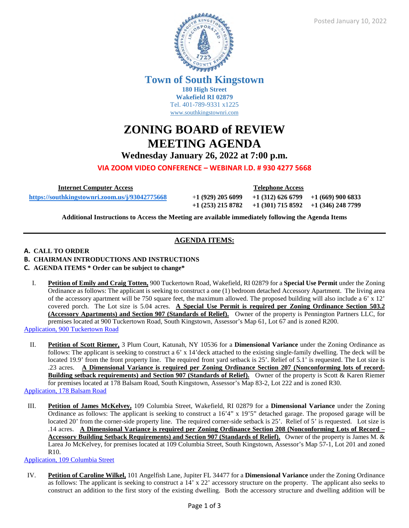

**Town of South Kingstown 180 High Street**

**Wakefield RI 02879** Tel. 401-789-9331 x1225 [www.southkingstownri.com](http://www.southkingstownri.com/)

# **ZONING BOARD of REVIEW MEETING AGENDA**

**Wednesday January 26, 2022 at 7:00 p.m.**

**VIA ZOOM VIDEO CONFERENCE – WEBINAR I.D. # 930 4277 5668** 

 **Internet Computer Access Telephone Access** 

 **<https://southkingstownri.zoom.us/j/93042775668>**+**1 (929) 205 6099 +1 (312) 626 6799 +1 (669) 900 6833 +1 (253) 215 8782 +1 (301) 715 8592 +1 (346) 248 7799** 

**Additional Instructions to Access the Meeting are available immediately following the Agenda Items** 

# **AGENDA ITEMS:**

# **A. CALL TO ORDER**

- **B. CHAIRMAN INTRODUCTIONS AND INSTRUCTIONS**
- **C. AGENDA ITEMS \* Order can be subject to change\***
- I. **Petition of Emily and Craig Totten,** 900 Tuckertown Road, Wakefield, RI 02879 for a **Special Use Permit** under the Zoning Ordinance as follows: The applicant is seeking to construct a one (1) bedroom detached Accessory Apartment. The living area of the accessory apartment will be 750 square feet, the maximum allowed. The proposed building will also include a  $6' \times 12'$ covered porch. The Lot size is 5.04 acres. **A Special Use Permit is required per Zoning Ordinance Section 503.2 (Accessory Apartments) and Section 907 (Standards of Relief).** Owner of the property is Pennington Partners LLC, for premises located at 900 Tuckertown Road, South Kingstown, Assessor's Map 61, Lot 67 and is zoned R200. [Application, 900 Tuckertown Road](https://www.southkingstownri.com/DocumentCenter/View/9221/Application-900-Tuckertown-Road)
- II. **Petition of Scott Riemer,** 3 Plum Court, Katunah, NY 10536 for a **Dimensional Variance** under the Zoning Ordinance as follows: The applicant is seeking to construct a 6' x 14'deck attached to the existing single-family dwelling. The deck will be located 19.9' from the front property line. The required front yard setback is 25'. Relief of 5.1' is requested. The Lot size is .23 acres. **A Dimensional Variance is required per Zoning Ordinance Section 207 (Nonconforming lots of record-Building setback requirements) and Section 907 (Standards of Relief).** Owner of the property is Scott & Karen Riemer for premises located at 178 Balsam Road, South Kingstown, Assessor's Map 83-2, Lot 222 and is zoned R30. [Application, 178 Balsam Road](https://www.southkingstownri.com/DocumentCenter/View/9220/Application-178-Balsam-Road)

III. **Petition of James McKelvey,** 109 Columbia Street, Wakefield, RI 02879 for a **Dimensional Variance** under the Zoning Ordinance as follows: The applicant is seeking to construct a 16'4" x 19'5" detached garage. The proposed garage will be located 20' from the corner-side property line. The required corner-side setback is 25'. Relief of 5' is requested. Lot size is .14 acres. **A Dimensional Variance is required per Zoning Ordinance Section 208 (Nonconforming Lots of Record – Accessory Building Setback Requirements) and Section 907 (Standards of Relief).** Owner of the property is James M. & Larea Jo McKelvey, for premises located at 109 Columbia Street, South Kingstown, Assessor's Map 57-1, Lot 201 and zoned R10.

[Application, 109 Columbia Street](https://www.southkingstownri.com/DocumentCenter/View/9219/Application-109-Columbia-Street)

IV. **Petition of Caroline Wilkel,** 101 Angelfish Lane, Jupiter FL 34477 for a **Dimensional Variance** under the Zoning Ordinance as follows: The applicant is seeking to construct a 14' x 22' accessory structure on the property. The applicant also seeks to construct an addition to the first story of the existing dwelling. Both the accessory structure and dwelling addition will be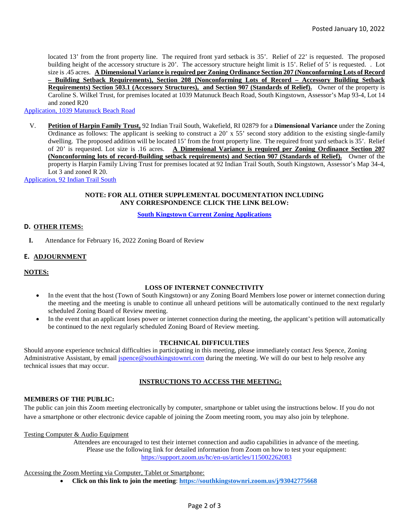located 13' from the front property line. The required front yard setback is 35'. Relief of 22' is requested. The proposed building height of the accessory structure is 20'. The accessory structure height limit is 15'. Relief of 5' is requested. . Lot size is .45 acres. **A Dimensional Variance is required per Zoning Ordinance Section 207 (Nonconforming Lots of Record – Building Setback Requirements), Section 208 (Nonconforming Lots of Record – Accessory Building Setback Requirements) Section 503.1 (Accessory Structures), and Section 907 (Standards of Relief).** Owner of the property is Caroline S. Wilkel Trust, for premises located at 1039 Matunuck Beach Road, South Kingstown, Assessor's Map 93-4, Lot 14 and zoned R20

[Application, 1039 Matunuck Beach Road](https://www.southkingstownri.com/DocumentCenter/View/9224/Application-1039-Matunuck-Beach-Road)

V. **Petition of Harpin Family Trust,** 92 Indian Trail South, Wakefield, RI 02879 for a **Dimensional Variance** under the Zoning Ordinance as follows: The applicant is seeking to construct a 20' x 55' second story addition to the existing single-family dwelling. The proposed addition will be located 15' from the front property line. The required front yard setback is 35'. Relief of 20' is requested. Lot size is .16 acres. **A Dimensional Variance is required per Zoning Ordinance Section 207 (Nonconforming lots of record-Building setback requirements) and Section 907 (Standards of Relief).** Owner of the property is Harpin Family Living Trust for premises located at 92 Indian Trail South, South Kingstown, Assessor's Map 34-4, Lot 3 and zoned R 20.

[Application, 92 Indian Trail South](https://www.southkingstownri.com/DocumentCenter/View/9222/Application-92-Indian-Lake)

#### **NOTE: FOR ALL OTHER SUPPLEMENTAL DOCUMENTATION INCLUDING ANY CORRESPONDENCE CLICK THE LINK BELOW:**

#### **[South Kingstown Current Zoning Applications](https://www.southkingstownri.com/1000/Current-Zoning-Applications)**

#### **D. OTHER ITEMS:**

**I.** Attendance for February 16, 2022 Zoning Board of Review

# **E. ADJOURNMENT**

#### **NOTES:**

#### **LOSS OF INTERNET CONNECTIVITY**

- In the event that the host (Town of South Kingstown) or any Zoning Board Members lose power or internet connection during the meeting and the meeting is unable to continue all unheard petitions will be automatically continued to the next regularly scheduled Zoning Board of Review meeting.
- In the event that an applicant loses power or internet connection during the meeting, the applicant's petition will automatically be continued to the next regularly scheduled Zoning Board of Review meeting.

#### **TECHNICAL DIFFICULTIES**

Should anyone experience technical difficulties in participating in this meeting, please immediately contact Jess Spence, Zoning Administrative Assistant, by email [jspence@southkingstownri.com](mailto:jspence@southkingstownri.com) during the meeting. We will do our best to help resolve any technical issues that may occur.

# **INSTRUCTIONS TO ACCESS THE MEETING:**

#### **MEMBERS OF THE PUBLIC:**

The public can join this Zoom meeting electronically by computer, smartphone or tablet using the instructions below. If you do not have a smartphone or other electronic device capable of joining the Zoom meeting room, you may also join by telephone.

Testing Computer & Audio Equipment

Attendees are encouraged to test their internet connection and audio capabilities in advance of the meeting. Please use the following link for detailed information from Zoom on how to test your equipment: <https://support.zoom.us/hc/en-us/articles/115002262083>

Accessing the Zoom Meeting via Computer, Tablet or Smartphone:

**Click on this link to join the meeting**: **<https://southkingstownri.zoom.us/j/93042775668>**